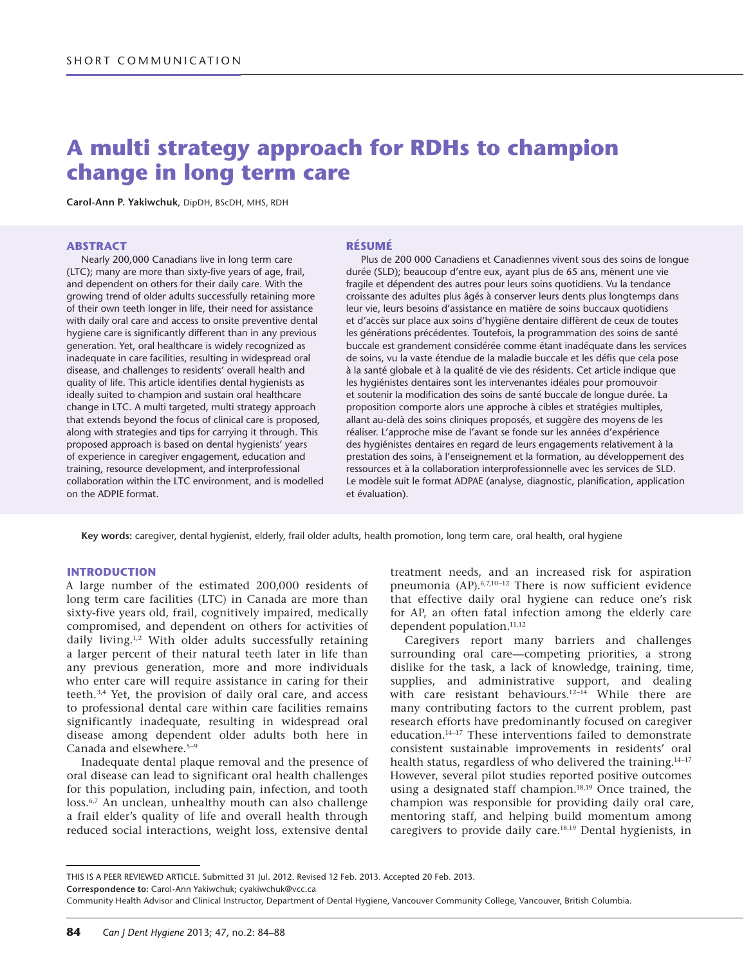# **A multi strategy approach for RDHs to champion change in long term care**

**Carol-Ann P. Yakiwchuk**, DipDH, BScDH, MHS, RDH

#### **ABSTRACT**

Nearly 200,000 Canadians live in long term care (LTC); many are more than sixty-five years of age, frail, and dependent on others for their daily care. With the growing trend of older adults successfully retaining more of their own teeth longer in life, their need for assistance with daily oral care and access to onsite preventive dental hygiene care is significantly different than in any previous generation. Yet, oral healthcare is widely recognized as inadequate in care facilities, resulting in widespread oral disease, and challenges to residents' overall health and quality of life. This article identifies dental hygienists as ideally suited to champion and sustain oral healthcare change in LTC. A multi targeted, multi strategy approach that extends beyond the focus of clinical care is proposed, along with strategies and tips for carrying it through. This proposed approach is based on dental hygienists' years of experience in caregiver engagement, education and training, resource development, and interprofessional collaboration within the LTC environment, and is modelled on the ADPIE format.

#### **RÉSU MÉ**

Plus de 200 000 Canadiens et Canadiennes vivent sous des soins de longue durée (SLD); beaucoup d'entre eux, ayant plus de 65 ans, mènent une vie fragile et dépendent des autres pour leurs soins quotidiens. Vu la tendance croissante des adultes plus âgés à conserver leurs dents plus longtemps dans leur vie, leurs besoins d'assistance en matière de soins buccaux quotidiens et d'accès sur place aux soins d'hygiène dentaire diffèrent de ceux de toutes les générations précédentes. Toutefois, la programmation des soins de santé buccale est grandement considérée comme étant inadéquate dans les services de soins, vu la vaste étendue de la maladie buccale et les défis que cela pose à la santé globale et à la qualité de vie des résidents. Cet article indique que les hygiénistes dentaires sont les intervenantes idéales pour promouvoir et soutenir la modification des soins de santé buccale de longue durée. La proposition comporte alors une approche à cibles et stratégies multiples, allant au-delà des soins cliniques proposés, et suggère des moyens de les réaliser. L'approche mise de l'avant se fonde sur les années d'expérience des hygiénistes dentaires en regard de leurs engagements relativement à la prestation des soins, à l'enseignement et la formation, au développement des ressources et à la collaboration interprofessionnelle avec les services de SLD. Le modèle suit le format ADPAE (analyse, diagnostic, planification, application et évaluation).

**Key words:** caregiver, dental hygienist, elderly, frail older adults, health promotion, long term care, oral health, oral hygiene

#### **INTRODUCTION**

A large number of the estimated 200,000 residents of long term care facilities (LTC) in Canada are more than sixty-five years old, frail, cognitively impaired, medically compromised, and dependent on others for activities of daily living.1,2 With older adults successfully retaining a larger percent of their natural teeth later in life than any previous generation, more and more individuals who enter care will require assistance in caring for their teeth.3,4 Yet, the provision of daily oral care, and access to professional dental care within care facilities remains significantly inadequate, resulting in widespread oral disease among dependent older adults both here in Canada and elsewhere.<sup>5-9</sup>

Inadequate dental plaque removal and the presence of oral disease can lead to significant oral health challenges for this population, including pain, infection, and tooth loss.<sup>6,7</sup> An unclean, unhealthy mouth can also challenge a frail elder's quality of life and overall health through reduced social interactions, weight loss, extensive dental

treatment needs, and an increased risk for aspiration pneumonia (AP).6,7,10–12 There is now sufficient evidence that effective daily oral hygiene can reduce one's risk for AP, an often fatal infection among the elderly care dependent population.<sup>11,12</sup>

Caregivers report many barriers and challenges surrounding oral care—competing priorities, a strong dislike for the task, a lack of knowledge, training, time, supplies, and administrative support, and dealing with care resistant behaviours.<sup>12-14</sup> While there are many contributing factors to the current problem, past research efforts have predominantly focused on caregiver education.14–17 These interventions failed to demonstrate consistent sustainable improvements in residents' oral health status, regardless of who delivered the training.<sup>14–17</sup> However, several pilot studies reported positive outcomes using a designated staff champion.18,19 Once trained, the champion was responsible for providing daily oral care, mentoring staff, and helping build momentum among caregivers to provide daily care.18,19 Dental hygienists, in

**Correspondence to:** Carol-Ann Yakiwchuk; [cyakiwchuk@vcc.ca](mailto:cyakiwchuk@vcc.ca)

THIS IS A PEER REVIEWED ARTICLE. Submitted 31 Jul. 2012. Revised 12 Feb. 2013. Accepted 20 Feb. 2013.

Community Health Advisor and Clinical Instructor, Department of Dental Hygiene, Vancouver Community College, Vancouver, British Columbia.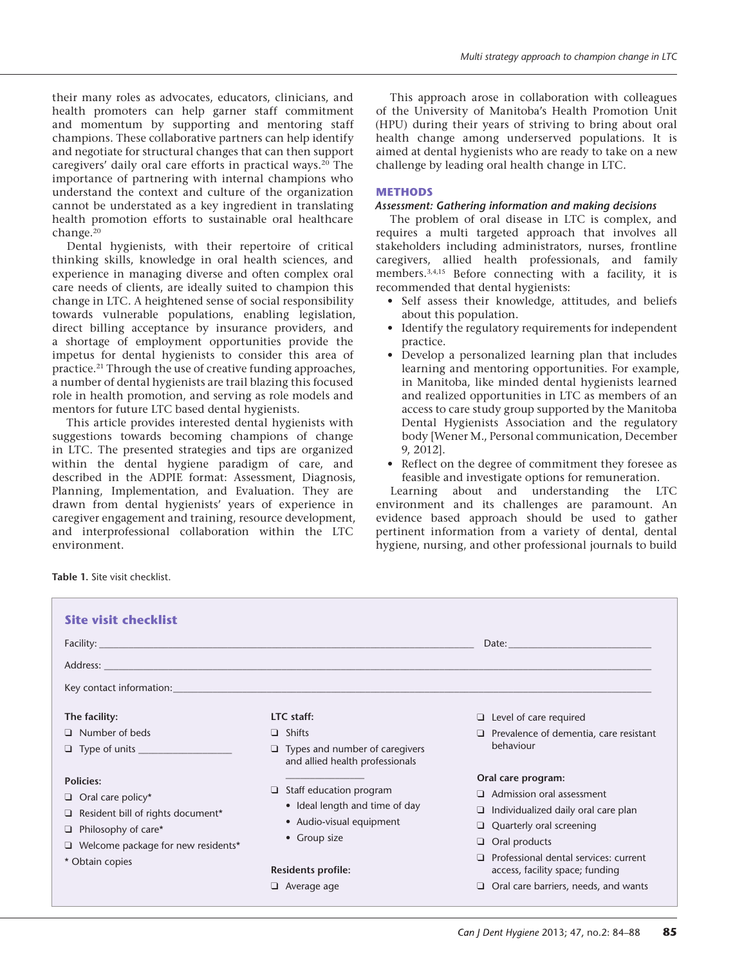their many roles as advocates, educators, clinicians, and health promoters can help garner staff commitment and momentum by supporting and mentoring staff champions. These collaborative partners can help identify and negotiate for structural changes that can then support caregivers' daily oral care efforts in practical ways.<sup>20</sup> The importance of partnering with internal champions who understand the context and culture of the organization cannot be understated as a key ingredient in translating health promotion efforts to sustainable oral healthcare change.20

Dental hygienists, with their repertoire of critical thinking skills, knowledge in oral health sciences, and experience in managing diverse and often complex oral care needs of clients, are ideally suited to champion this change in LTC. A heightened sense of social responsibility towards vulnerable populations, enabling legislation, direct billing acceptance by insurance providers, and a shortage of employment opportunities provide the impetus for dental hygienists to consider this area of practice.21 Through the use of creative funding approaches, a number of dental hygienists are trail blazing this focused role in health promotion, and serving as role models and mentors for future LTC based dental hygienists.

This article provides interested dental hygienists with suggestions towards becoming champions of change in LTC. The presented strategies and tips are organized within the dental hygiene paradigm of care, and described in the ADPIE format: Assessment, Diagnosis, Planning, Implementation, and Evaluation. They are drawn from dental hygienists' years of experience in caregiver engagement and training, resource development, and interprofessional collaboration within the LTC environment.

This approach arose in collaboration with colleagues of the University of Manitoba's Health Promotion Unit (HPU) during their years of striving to bring about oral health change among underserved populations. It is aimed at dental hygienists who are ready to take on a new challenge by leading oral health change in LTC.

#### **METHODS**

## *Assessment: Gathering information and making decisions*

The problem of oral disease in LTC is complex, and requires a multi targeted approach that involves all stakeholders including administrators, nurses, frontline caregivers, allied health professionals, and family members.<sup>3,4,15</sup> Before connecting with a facility, it is recommended that dental hygienists:

- • Self assess their knowledge, attitudes, and beliefs about this population.
- • Identify the regulatory requirements for independent practice.
- • Develop a personalized learning plan that includes learning and mentoring opportunities. For example, in Manitoba, like minded dental hygienists learned and realized opportunities in LTC as members of an access to care study group supported by the Manitoba Dental Hygienists Association and the regulatory body [Wener M., Personal communication, December 9, 2012].
- Reflect on the degree of commitment they foresee as feasible and investigate options for remuneration.

Learning about and understanding the LTC environment and its challenges are paramount. An evidence based approach should be used to gather pertinent information from a variety of dental, dental hygiene, nursing, and other professional journals to build

**Table 1.** Site visit checklist.

| <b>Site visit checklist</b>                                                                                                                                                     |                                                                                                              |                                                                               |
|---------------------------------------------------------------------------------------------------------------------------------------------------------------------------------|--------------------------------------------------------------------------------------------------------------|-------------------------------------------------------------------------------|
|                                                                                                                                                                                 |                                                                                                              |                                                                               |
|                                                                                                                                                                                 |                                                                                                              |                                                                               |
|                                                                                                                                                                                 |                                                                                                              |                                                                               |
| The facility:                                                                                                                                                                   | LTC staff:                                                                                                   | $\Box$ Level of care required                                                 |
| $\Box$ Number of beds                                                                                                                                                           | $\Box$ Shifts                                                                                                | Prevalence of dementia, care resistant<br>◻                                   |
| $\Box$ Type of units                                                                                                                                                            | $\Box$ Types and number of caregivers<br>and allied health professionals                                     | behaviour                                                                     |
| Policies:<br>$\Box$ Oral care policy*<br>$\Box$ Resident bill of rights document*<br>$\Box$ Philosophy of care*<br>$\Box$ Welcome package for new residents*<br>* Obtain copies | $\Box$ Staff education program<br>• Ideal length and time of day<br>• Audio-visual equipment<br>• Group size | Oral care program:                                                            |
|                                                                                                                                                                                 |                                                                                                              | Admission oral assessment<br>n.                                               |
|                                                                                                                                                                                 |                                                                                                              | Individualized daily oral care plan<br>□                                      |
|                                                                                                                                                                                 |                                                                                                              | Quarterly oral screening<br>Q.                                                |
|                                                                                                                                                                                 |                                                                                                              | Oral products<br>Q.                                                           |
|                                                                                                                                                                                 | <b>Residents profile:</b>                                                                                    | Professional dental services: current<br>n<br>access, facility space; funding |
|                                                                                                                                                                                 | $\Box$ Average age                                                                                           | Oral care barriers, needs, and wants                                          |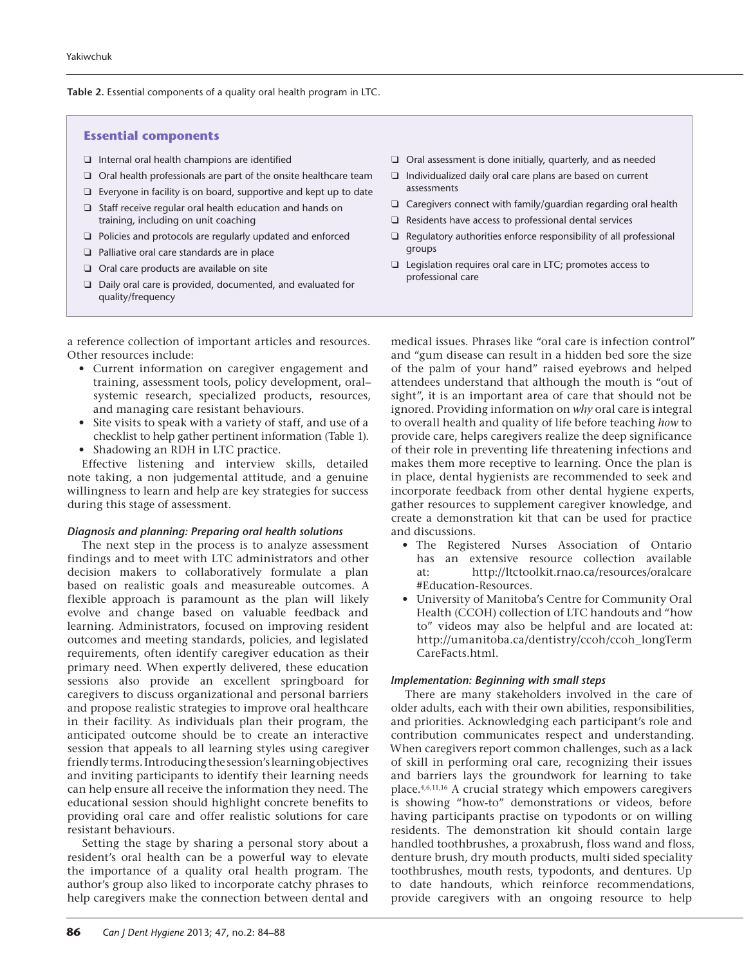#### **Table 2.** Essential components of a quality oral health program in LTC.

## **Essential components**

- $\Box$  Internal oral health champions are identified
- $\Box$  Oral health professionals are part of the onsite healthcare team
- $\Box$  Everyone in facility is on board, supportive and kept up to date
- $\Box$  Staff receive regular oral health education and hands on training, including on unit coaching
- $\Box$  Policies and protocols are regularly updated and enforced
- $\Box$  Palliative oral care standards are in place
- $\Box$  Oral care products are available on site
- $\Box$  Daily oral care is provided, documented, and evaluated for quality/frequency

a reference collection of important articles and resources. Other resources include:

- • Current information on caregiver engagement and training, assessment tools, policy development, oral– systemic research, specialized products, resources, and managing care resistant behaviours.
- Site visits to speak with a variety of staff, and use of a checklist to help gather pertinent information (Table 1).
- Shadowing an RDH in LTC practice.

Effective listening and interview skills, detailed note taking, a non judgemental attitude, and a genuine willingness to learn and help are key strategies for success during this stage of assessment.

#### *Diagnosis and planning: Preparing oral health solutions*

The next step in the process is to analyze assessment findings and to meet with LTC administrators and other decision makers to collaboratively formulate a plan based on realistic goals and measureable outcomes. A flexible approach is paramount as the plan will likely evolve and change based on valuable feedback and learning. Administrators, focused on improving resident outcomes and meeting standards, policies, and legislated requirements, often identify caregiver education as their primary need. When expertly delivered, these education sessions also provide an excellent springboard for caregivers to discuss organizational and personal barriers and propose realistic strategies to improve oral healthcare in their facility. As individuals plan their program, the anticipated outcome should be to create an interactive session that appeals to all learning styles using caregiver friendly terms. Introducing the session's learning objectives and inviting participants to identify their learning needs can help ensure all receive the information they need. The educational session should highlight concrete benefits to providing oral care and offer realistic solutions for care resistant behaviours.

Setting the stage by sharing a personal story about a resident's oral health can be a powerful way to elevate the importance of a quality oral health program. The author's group also liked to incorporate catchy phrases to help caregivers make the connection between dental and

- $\Box$  Oral assessment is done initially, quarterly, and as needed
- $\Box$  Individualized daily oral care plans are based on current assessments
- $\Box$  Caregivers connect with family/guardian regarding oral health
- $\Box$  Residents have access to professional dental services
- $\Box$  Regulatory authorities enforce responsibility of all professional groups
- $\Box$  Legislation requires oral care in LTC; promotes access to professional care

medical issues. Phrases like "oral care is infection control" and "gum disease can result in a hidden bed sore the size of the palm of your hand" raised eyebrows and helped attendees understand that although the mouth is "out of sight", it is an important area of care that should not be ignored. Providing information on *why* oral care is integral to overall health and quality of life before teaching *how* to provide care, helps caregivers realize the deep significance of their role in preventing life threatening infections and makes them more receptive to learning. Once the plan is in place, dental hygienists are recommended to seek and incorporate feedback from other dental hygiene experts, gather resources to supplement caregiver knowledge, and create a demonstration kit that can be used for practice and discussions.

- • The Registered Nurses Association of Ontario has an extensive resource collection available at: [http://ltctoolkit.rnao.ca/resources/oralcare](http://ltctoolkit.rnao.ca/resources/oralcare#Education-Resources) [#Education-Resources.](http://ltctoolkit.rnao.ca/resources/oralcare#Education-Resources)
- • University of Manitoba's Centre for Community Oral Health (CCOH) collection of LTC handouts and "how to" videos may also be helpful and are located at: [http://umanitoba.ca/dentistry/ccoh/ccoh\\_longTerm](http://umanitoba.ca/dentistry/ccoh/ccoh_longTermCareFacts.html)  [CareFacts.html.](http://umanitoba.ca/dentistry/ccoh/ccoh_longTermCareFacts.html)

# *Implementation: Beginning with small steps*

There are many stakeholders involved in the care of older adults, each with their own abilities, responsibilities, and priorities. Acknowledging each participant's role and contribution communicates respect and understanding. When caregivers report common challenges, such as a lack of skill in performing oral care, recognizing their issues and barriers lays the groundwork for learning to take place.4,6,11,16 A crucial strategy which empowers caregivers is showing "how-to" demonstrations or videos, before having participants practise on typodonts or on willing residents. The demonstration kit should contain large handled toothbrushes, a proxabrush, floss wand and floss, denture brush, dry mouth products, multi sided speciality toothbrushes, mouth rests, typodonts, and dentures. Up to date handouts, which reinforce recommendations, provide caregivers with an ongoing resource to help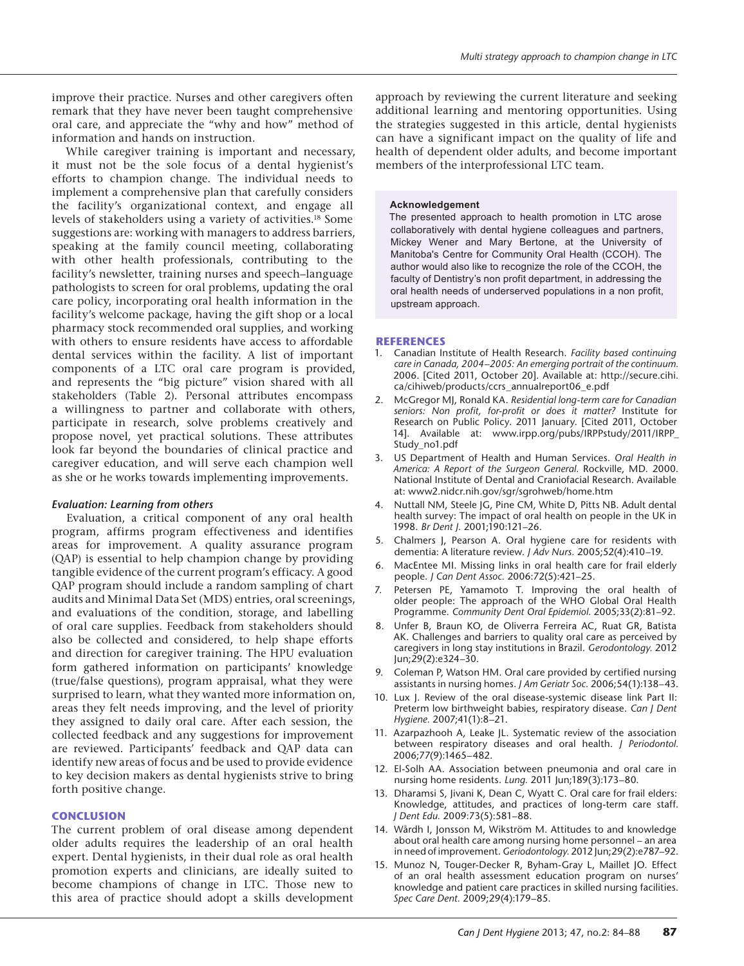improve their practice. Nurses and other caregivers often remark that they have never been taught comprehensive oral care, and appreciate the "why and how" method of information and hands on instruction.

While caregiver training is important and necessary, it must not be the sole focus of a dental hygienist's efforts to champion change. The individual needs to implement a comprehensive plan that carefully considers the facility's organizational context, and engage all levels of stakeholders using a variety of activities.18 Some suggestions are: working with managers to address barriers, speaking at the family council meeting, collaborating with other health professionals, contributing to the facility's newsletter, training nurses and speech–language pathologists to screen for oral problems, updating the oral care policy, incorporating oral health information in the facility's welcome package, having the gift shop or a local pharmacy stock recommended oral supplies, and working with others to ensure residents have access to affordable dental services within the facility. A list of important components of a LTC oral care program is provided, and represents the "big picture" vision shared with all stakeholders (Table 2). Personal attributes encompass a willingness to partner and collaborate with others, participate in research, solve problems creatively and propose novel, yet practical solutions. These attributes look far beyond the boundaries of clinical practice and caregiver education, and will serve each champion well as she or he works towards implementing improvements.

# *Evaluation: Learning from others*

Evaluation, a critical component of any oral health program, affirms program effectiveness and identifies areas for improvement. A quality assurance program (QAP) is essential to help champion change by providing tangible evidence of the current program's efficacy. A good QAP program should include a random sampling of chart audits and Minimal Data Set (MDS) entries, oral screenings, and evaluations of the condition, storage, and labelling of oral care supplies. Feedback from stakeholders should also be collected and considered, to help shape efforts and direction for caregiver training. The HPU evaluation form gathered information on participants' knowledge (true/false questions), program appraisal, what they were surprised to learn, what they wanted more information on, areas they felt needs improving, and the level of priority they assigned to daily oral care. After each session, the collected feedback and any suggestions for improvement are reviewed. Participants' feedback and QAP data can identify new areas of focus and be used to provide evidence to key decision makers as dental hygienists strive to bring forth positive change.

## **CONCLUS ION**

The current problem of oral disease among dependent older adults requires the leadership of an oral health expert. Dental hygienists, in their dual role as oral health promotion experts and clinicians, are ideally suited to become champions of change in LTC. Those new to this area of practice should adopt a skills development

approach by reviewing the current literature and seeking additional learning and mentoring opportunities. Using the strategies suggested in this article, dental hygienists can have a significant impact on the quality of life and health of dependent older adults, and become important members of the interprofessional LTC team.

#### **Acknowledgement**

The presented approach to health promotion in LTC arose collaboratively with dental hygiene colleagues and partners, Mickey Wener and Mary Bertone, at the University of Manitoba's Centre for Community Oral Health (CCOH). The author would also like to recognize the role of the CCOH, the faculty of Dentistry's non profit department, in addressing the oral health needs of underserved populations in a non profit, upstream approach.

#### **REFERENCES**

- 1. Canadian Institute of Health Research. *Facility based continuing care in Canada, 2004–2005: An emerging portrait of the continuum.* 2006. [Cited 2011, October 20]. Available at: [http://secure.cihi.](http://secure.cihi.ca/cihiweb/products/ccrs_annualreport06_e.pdf) [ca/cihiweb/products/ccrs\\_annualreport06\\_e.pdf](http://secure.cihi.ca/cihiweb/products/ccrs_annualreport06_e.pdf)
- 2. McGregor MJ, Ronald KA. *Residential long-term care for Canadian seniors: Non profit, for-profit or does it matter?* Institute for Research on Public Policy. 2011 January. [Cited 2011, October 14]. Available at: [www.irpp.org/pubs/IRPPstudy/2011/IRPP\\_](http://www.irpp.org/pubs/IRPPstudy/2011/IRPP_Study_no1.pdf) [Study\\_no1.pdf](http://www.irpp.org/pubs/IRPPstudy/2011/IRPP_Study_no1.pdf)
- 3. US Department of Health and Human Services. *Oral Health in America: A Report of the Surgeon General.* Rockville, MD. 2000. National Institute of Dental and Craniofacial Research. Available at: www2.nidcr.nih.gov/sgr/sgrohweb/home.htm
- 4. Nuttall NM, Steele JG, Pine CM, White D, Pitts NB. Adult dental health survey: The impact of oral health on people in the UK in 1998. *Br Dent J.* 2001;190:121–26.
- 5. Chalmers J, Pearson A. Oral hygiene care for residents with dementia: A literature review. *J Adv Nurs.* 2005;52(4):410–19.
- MacEntee MI. Missing links in oral health care for frail elderly people. *J Can Dent Assoc.* 2006:72(5):421–25.
- Petersen PE, Yamamoto T. Improving the oral health of older people: The approach of the WHO Global Oral Health Programme. *Community Dent Oral Epidemiol.* 2005;33(2):81–92.
- 8. Unfer B, Braun KO, de Oliverra Ferreira AC, Ruat GR, Batista AK. Challenges and barriers to quality oral care as perceived by caregivers in long stay institutions in Brazil. *Gerodontology.* 2012 Jun;29(2):e324–30.
- 9. Coleman P, Watson HM. Oral care provided by certified nursing assistants in nursing homes. *J Am Geriatr Soc.* 2006;54(1):138–43.
- 10. Lux J. Review of the oral disease-systemic disease link Part II: Preterm low birthweight babies, respiratory disease. *Can J Dent Hygiene.* 2007;41(1):8–21.
- 11. Azarpazhooh A, Leake JL. Systematic review of the association between respiratory diseases and oral health. *J Periodontol.* 2006;77(9):1465–482.
- 12. El-Solh AA. Association between pneumonia and oral care in nursing home residents. *Lung.* 2011 Jun;189(3):173–80.
- 13. Dharamsi S, Jivani K, Dean C, Wyatt C. Oral care for frail elders: Knowledge, attitudes, and practices of long-term care staff. *J Dent Edu.* 2009:73(5):581–88.
- 14. Wårdh I, Jonsson M, Wikström M. Attitudes to and knowledge about oral health care among nursing home personnel – an area in need of improvement. *Geriodontology.* 2012 Jun;29(2):e787–92.
- 15. Munoz N, Touger-Decker R, Byham-Gray L, Maillet JO. Effect of an oral health assessment education program on nurses' knowledge and patient care practices in skilled nursing facilities. *Spec Care Dent.* 2009;29(4):179–85.